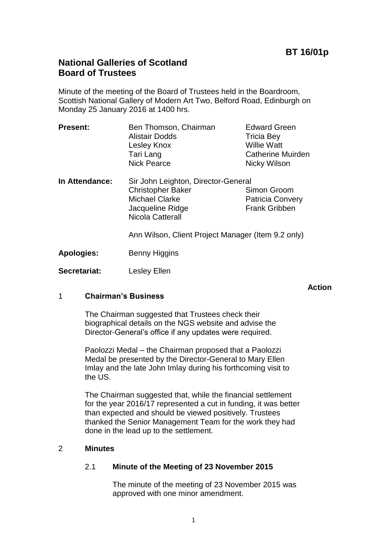# **National Galleries of Scotland Board of Trustees**

Minute of the meeting of the Board of Trustees held in the Boardroom, Scottish National Gallery of Modern Art Two, Belford Road, Edinburgh on Monday 25 January 2016 at 1400 hrs.

| <b>Present:</b> | Ben Thomson, Chairman | <b>Edward Green</b>      |
|-----------------|-----------------------|--------------------------|
|                 | <b>Alistair Dodds</b> | <b>Tricia Bey</b>        |
|                 | Lesley Knox           | <b>Willie Watt</b>       |
|                 | Tari Lang             | <b>Catherine Muirden</b> |
|                 | <b>Nick Pearce</b>    | Nicky Wilson             |
|                 |                       |                          |

**In Attendance:** Sir John Leighton, Director-General Christopher Baker Simon Groom Michael Clarke **Patricia Convery** Jacqueline Ridge Frank Gribben Nicola Catterall

Ann Wilson, Client Project Manager (Item 9.2 only)

**Apologies:** Benny Higgins

**Secretariat:** Lesley Ellen

#### **Action**

# 1 **Chairman's Business**

The Chairman suggested that Trustees check their biographical details on the NGS website and advise the Director-General's office if any updates were required.

Paolozzi Medal – the Chairman proposed that a Paolozzi Medal be presented by the Director-General to Mary Ellen Imlay and the late John Imlay during his forthcoming visit to the US.

The Chairman suggested that, while the financial settlement for the year 2016/17 represented a cut in funding, it was better than expected and should be viewed positively. Trustees thanked the Senior Management Team for the work they had done in the lead up to the settlement.

# 2 **Minutes**

# 2.1 **Minute of the Meeting of 23 November 2015**

The minute of the meeting of 23 November 2015 was approved with one minor amendment.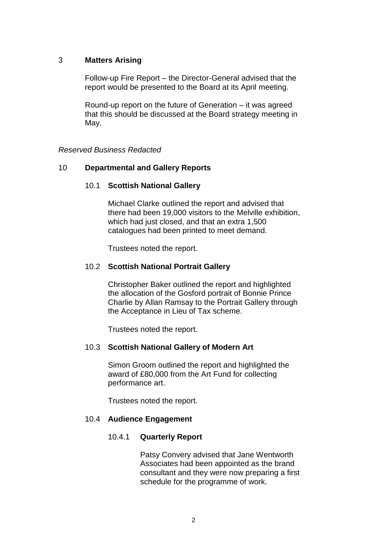# 3 **Matters Arising**

Follow-up Fire Report – the Director-General advised that the report would be presented to the Board at its April meeting.

Round-up report on the future of Generation – it was agreed that this should be discussed at the Board strategy meeting in May.

#### *Reserved Business Redacted*

# 10 **Departmental and Gallery Reports**

#### 10.1 **Scottish National Gallery**

Michael Clarke outlined the report and advised that there had been 19,000 visitors to the Melville exhibition, which had just closed, and that an extra 1,500 catalogues had been printed to meet demand.

Trustees noted the report.

#### 10.2 **Scottish National Portrait Gallery**

Christopher Baker outlined the report and highlighted the allocation of the Gosford portrait of Bonnie Prince Charlie by Allan Ramsay to the Portrait Gallery through the Acceptance in Lieu of Tax scheme.

Trustees noted the report.

# 10.3 **Scottish National Gallery of Modern Art**

Simon Groom outlined the report and highlighted the award of £80,000 from the Art Fund for collecting performance art.

Trustees noted the report.

# 10.4 **Audience Engagement**

# 10.4.1 **Quarterly Report**

Patsy Convery advised that Jane Wentworth Associates had been appointed as the brand consultant and they were now preparing a first schedule for the programme of work.